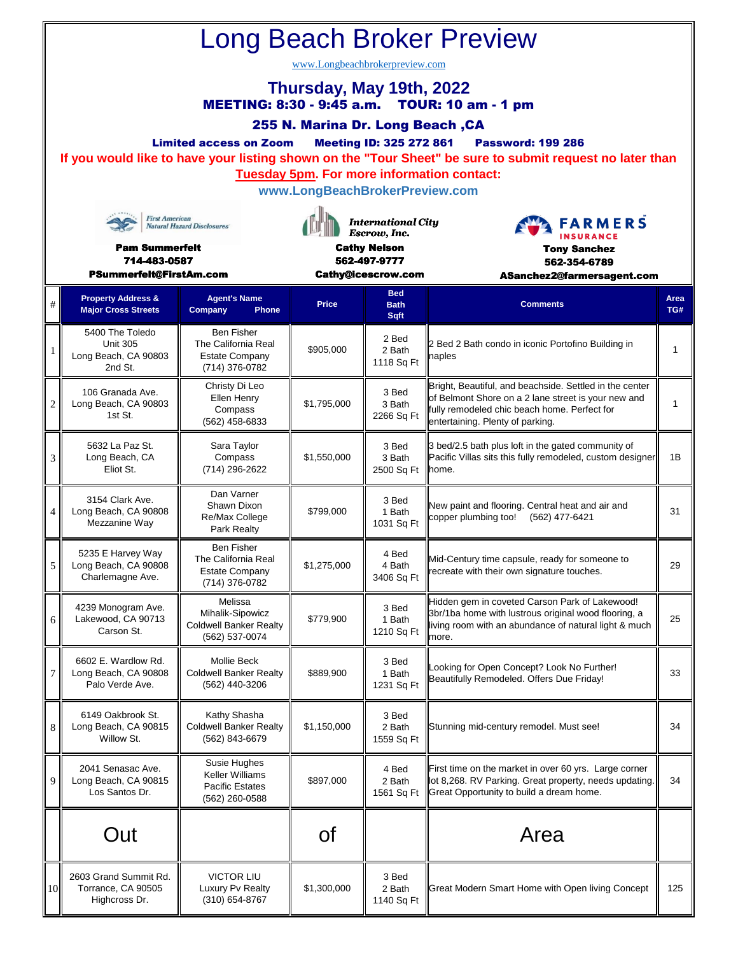| <b>Long Beach Broker Preview</b><br>www.Longbeachbrokerpreview.com<br>Thursday, May 19th, 2022<br>MEETING: 8:30 - 9:45 a.m. TOUR: 10 am - 1 pm<br>255 N. Marina Dr. Long Beach, CA<br><b>Meeting ID: 325 272 861</b><br><b>Limited access on Zoom</b><br><b>Password: 199 286</b><br>If you would like to have your listing shown on the "Tour Sheet" be sure to submit request no later than<br><b>Tuesday 5pm. For more information contact:</b><br>www.LongBeachBrokerPreview.com |                                                                       |                                                                                     |                                                                                                        |                                   |                                                                                                                                                                                                    |              |  |  |  |  |  |
|--------------------------------------------------------------------------------------------------------------------------------------------------------------------------------------------------------------------------------------------------------------------------------------------------------------------------------------------------------------------------------------------------------------------------------------------------------------------------------------|-----------------------------------------------------------------------|-------------------------------------------------------------------------------------|--------------------------------------------------------------------------------------------------------|-----------------------------------|----------------------------------------------------------------------------------------------------------------------------------------------------------------------------------------------------|--------------|--|--|--|--|--|
| <b>First American</b><br><b>Natural Hazard Disclosures</b><br><b>Pam Summerfelt</b><br>714-483-0587<br>PSummerfelt@FirstAm.com                                                                                                                                                                                                                                                                                                                                                       |                                                                       |                                                                                     | <b>International City</b><br>Escrow, Inc.<br><b>Cathy Nelson</b><br>562-497-9777<br>Cathy@icescrow.com |                                   | <b>FARMERS</b><br><b>INSURANCE</b><br><b>Tony Sanchez</b><br>562-354-6789<br>ASanchez2@farmersagent.com                                                                                            |              |  |  |  |  |  |
| #                                                                                                                                                                                                                                                                                                                                                                                                                                                                                    | <b>Property Address &amp;</b><br><b>Major Cross Streets</b>           | <b>Agent's Name</b><br>Company<br>Phone                                             | Price                                                                                                  | <b>Bed</b><br><b>Bath</b><br>Sqft | <b>Comments</b>                                                                                                                                                                                    | Area<br>TG#  |  |  |  |  |  |
| -1                                                                                                                                                                                                                                                                                                                                                                                                                                                                                   | 5400 The Toledo<br><b>Unit 305</b><br>Long Beach, CA 90803<br>2nd St. | <b>Ben Fisher</b><br>The California Real<br><b>Estate Company</b><br>(714) 376-0782 | \$905,000                                                                                              | 2 Bed<br>2 Bath<br>1118 Sq Ft     | 2 Bed 2 Bath condo in iconic Portofino Building in<br>naples                                                                                                                                       | $\mathbf{1}$ |  |  |  |  |  |
| $\overline{c}$                                                                                                                                                                                                                                                                                                                                                                                                                                                                       | 106 Granada Ave.<br>Long Beach, CA 90803<br>1st St.                   | Christy Di Leo<br>Ellen Henry<br>Compass<br>$(562)$ 458-6833                        | \$1,795,000                                                                                            | 3 Bed<br>3 Bath<br>2266 Sq Ft     | Bright, Beautiful, and beachside. Settled in the center<br>of Belmont Shore on a 2 lane street is your new and<br>fully remodeled chic beach home. Perfect for<br>entertaining. Plenty of parking. | 1            |  |  |  |  |  |
| 3                                                                                                                                                                                                                                                                                                                                                                                                                                                                                    | 5632 La Paz St.<br>Long Beach, CA<br>Eliot St.                        | Sara Taylor<br>Compass<br>(714) 296-2622                                            | \$1,550,000                                                                                            | 3 Bed<br>3 Bath<br>2500 Sq Ft     | 3 bed/2.5 bath plus loft in the gated community of<br>Pacific Villas sits this fully remodeled, custom designer<br>lhome.                                                                          | 1B           |  |  |  |  |  |
| 4                                                                                                                                                                                                                                                                                                                                                                                                                                                                                    | 3154 Clark Ave.<br>Long Beach, CA 90808<br>Mezzanine Way              | Dan Varner<br>Shawn Dixon<br>Re/Max College<br>Park Realty                          | \$799.000                                                                                              | 3 Bed<br>1 Bath<br>1031 Sq Ft     | New paint and flooring. Central heat and air and<br>copper plumbing too!<br>(562) 477-6421                                                                                                         | 31           |  |  |  |  |  |
| 5                                                                                                                                                                                                                                                                                                                                                                                                                                                                                    | 5235 E Harvey Way<br>Long Beach, CA 90808<br>Charlemagne Ave.         | <b>Ben Fisher</b><br>The California Real<br><b>Estate Company</b><br>(714) 376-0782 | \$1,275,000                                                                                            | 4 Bed<br>4 Bath<br>3406 Sq Ft     | Mid-Century time capsule, ready for someone to<br>recreate with their own signature touches.                                                                                                       | 29           |  |  |  |  |  |
| 6                                                                                                                                                                                                                                                                                                                                                                                                                                                                                    | 4239 Monogram Ave.<br>Lakewood, CA 90713<br>Carson St.                | Melissa<br>Mihalik-Sipowicz<br><b>Coldwell Banker Realty</b><br>(562) 537-0074      | \$779,900                                                                                              | 3 Bed<br>1 Bath<br>1210 Sq Ft     | Hidden gem in coveted Carson Park of Lakewood!<br>3br/1ba home with lustrous original wood flooring, a<br>living room with an abundance of natural light & much<br>more.                           | 25           |  |  |  |  |  |
| 7                                                                                                                                                                                                                                                                                                                                                                                                                                                                                    | 6602 E. Wardlow Rd.<br>Long Beach, CA 90808<br>Palo Verde Ave.        | Mollie Beck<br><b>Coldwell Banker Realty</b><br>(562) 440-3206                      | \$889,900                                                                                              | 3 Bed<br>1 Bath<br>1231 Sq Ft     | Looking for Open Concept? Look No Further!<br>Beautifully Remodeled. Offers Due Friday!                                                                                                            | 33           |  |  |  |  |  |
| 8                                                                                                                                                                                                                                                                                                                                                                                                                                                                                    | 6149 Oakbrook St.<br>Long Beach, CA 90815<br>Willow St.               | Kathy Shasha<br><b>Coldwell Banker Realty</b><br>(562) 843-6679                     | \$1,150,000                                                                                            | 3 Bed<br>2 Bath<br>1559 Sq Ft     | Stunning mid-century remodel. Must see!                                                                                                                                                            | 34           |  |  |  |  |  |
| 9                                                                                                                                                                                                                                                                                                                                                                                                                                                                                    | 2041 Senasac Ave.<br>Long Beach, CA 90815<br>Los Santos Dr.           | Susie Hughes<br>Keller Williams<br><b>Pacific Estates</b><br>(562) 260-0588         | \$897,000                                                                                              | 4 Bed<br>2 Bath<br>1561 Sq Ft     | First time on the market in over 60 yrs. Large corner<br>lot 8,268. RV Parking. Great property, needs updating.<br>Great Opportunity to build a dream home.                                        | 34           |  |  |  |  |  |
|                                                                                                                                                                                                                                                                                                                                                                                                                                                                                      | Out                                                                   |                                                                                     | <b>of</b>                                                                                              |                                   | Area                                                                                                                                                                                               |              |  |  |  |  |  |
| 10                                                                                                                                                                                                                                                                                                                                                                                                                                                                                   | 2603 Grand Summit Rd.<br>Torrance, CA 90505<br>Highcross Dr.          | <b>VICTOR LIU</b><br>Luxury Pv Realty<br>(310) 654-8767                             | \$1,300,000                                                                                            | 3 Bed<br>2 Bath<br>1140 Sq Ft     | Great Modern Smart Home with Open living Concept                                                                                                                                                   | 125          |  |  |  |  |  |